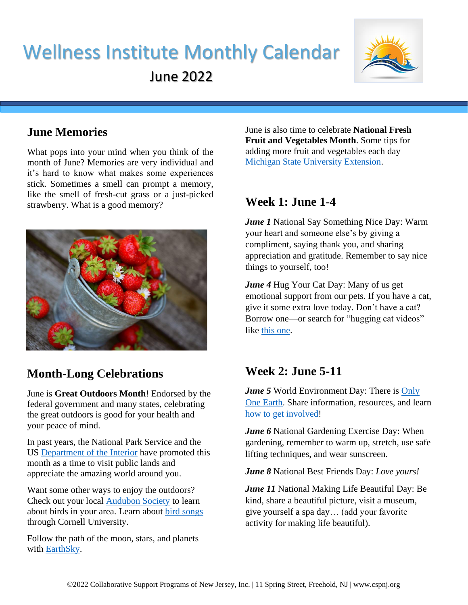# Wellness Institute Monthly Calendar

June 2022



## **June Memories**

What pops into your mind when you think of the month of June? Memories are very individual and it's hard to know what makes some experiences stick. Sometimes a smell can prompt a memory, like the smell of fresh-cut grass or a just-picked strawberry. What is a good memory?



# **Month-Long Celebrations**

June is **Great Outdoors Month**! Endorsed by the federal government and many states, celebrating the great outdoors is good for your health and your peace of mind.

In past years, the National Park Service and the US [Department of the Interior](https://www.doi.gov/video/great-outdoors-month-what-are-you-waiting) have promoted this month as a time to visit public lands and appreciate the amazing world around you.

Want some other ways to enjoy the outdoors? Check out your local [Audubon Society](https://www.audubon.org/) to learn about birds in your area. Learn about [bird songs](https://www.allaboutbirds.org/news/browse/topic/sounds-songs/) through Cornell University.

Follow the path of the moon, stars, and planets with **EarthSky**.

June is also time to celebrate **National Fresh Fruit and Vegetables Month**. Some tips for adding more fruit and vegetables each day [Michigan State University Extension.](https://www.canr.msu.edu/news/june_is_national_fresh_fruit_and_vegetables_month)

## **Week 1: June 1-4**

*June 1* National Say Something Nice Day: Warm your heart and someone else's by giving a compliment, saying thank you, and sharing appreciation and gratitude. Remember to say nice things to yourself, too!

*June 4* Hug Your Cat Day: Many of us get emotional support from our pets. If you have a cat, give it some extra love today. Don't have a cat? Borrow one—or search for "hugging cat videos" like [this one.](https://www.youtube.com/watch?v=Ndl_6UfD3K4)

# **Week 2: June 5-11**

*June 5* World Environment Day: There is Only [One Earth.](https://www.worldenvironmentday.global/get-involved/resources) Share information, resources, and learn [how to get involved!](https://www.unep.org/news-and-stories/story/10-ways-you-can-help-fight-climate-crisis)

*June 6* National Gardening Exercise Day: When gardening, remember to warm up, stretch, use safe lifting techniques, and wear sunscreen.

*June 8* National Best Friends Day: *Love yours!*

*June 11* National Making Life Beautiful Day: Be kind, share a beautiful picture, visit a museum, give yourself a spa day… (add your favorite activity for making life beautiful).